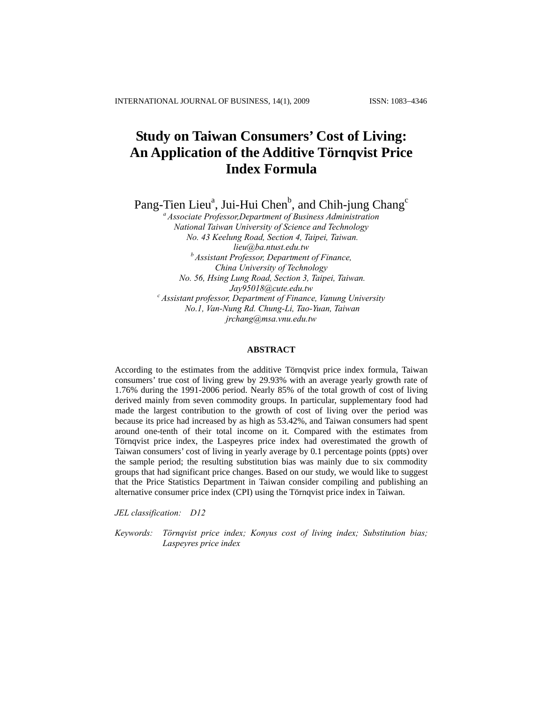# **Study on Taiwan Consumers' Cost of Living: An Application of the Additive Törnqvist Price Index Formula**

Pang-Tien Lieu<sup>a</sup>, Jui-Hui Chen<sup>b</sup>, and Chih-jung Chang<sup>c</sup>

*a Associate Professor,Department of Business Administration National Taiwan University of Science and Technology No. 43 Keelung Road, Section 4, Taipei, Taiwan. lieu@ba.ntust.edu.tw b Assistant Professor, Department of Finance, China University of Technology No. 56, Hsing Lung Road, Section 3, Taipei, Taiwan. Jay95018@cute.edu.tw c Assistant professor, Department of Finance, Vanung University No.1, Van-Nung Rd. Chung-Li, Tao-Yuan, Taiwan jrchang@msa.vnu.edu.tw* 

#### **ABSTRACT**

According to the estimates from the additive Törnqvist price index formula, Taiwan consumers' true cost of living grew by 29.93% with an average yearly growth rate of 1.76% during the 1991-2006 period. Nearly 85% of the total growth of cost of living derived mainly from seven commodity groups. In particular, supplementary food had made the largest contribution to the growth of cost of living over the period was because its price had increased by as high as 53.42%, and Taiwan consumers had spent around one-tenth of their total income on it. Compared with the estimates from Törnqvist price index, the Laspeyres price index had overestimated the growth of Taiwan consumers' cost of living in yearly average by 0.1 percentage points (ppts) over the sample period; the resulting substitution bias was mainly due to six commodity groups that had significant price changes. Based on our study, we would like to suggest that the Price Statistics Department in Taiwan consider compiling and publishing an alternative consumer price index (CPI) using the Törnqvist price index in Taiwan.

*JEL classification: D12* 

*Keywords: Törnqvist price index; Konyus cost of living index; Substitution bias; Laspeyres price index*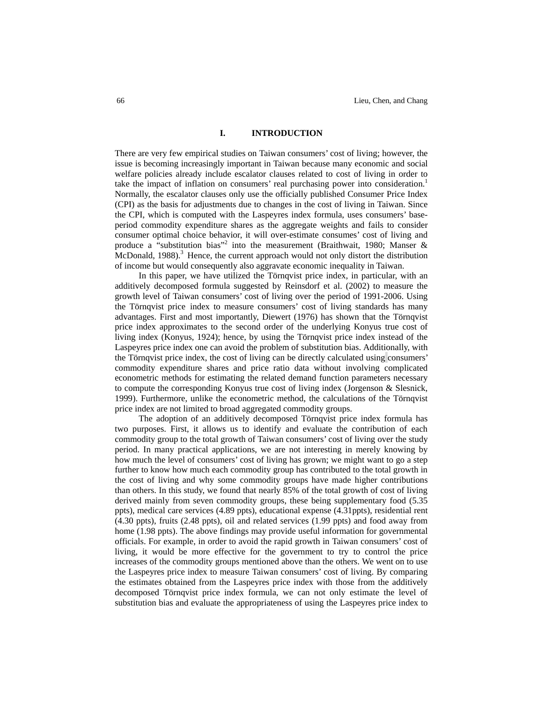### **I. INTRODUCTION**

There are very few empirical studies on Taiwan consumers' cost of living; however, the issue is becoming increasingly important in Taiwan because many economic and social welfare policies already include escalator clauses related to cost of living in order to take the impact of inflation on consumers' real purchasing power into consideration.<sup>1</sup> Normally, the escalator clauses only use the officially published Consumer Price Index (CPI) as the basis for adjustments due to changes in the cost of living in Taiwan. Since the CPI, which is computed with the Laspeyres index formula, uses consumers' baseperiod commodity expenditure shares as the aggregate weights and fails to consider consumer optimal choice behavior, it will over-estimate consumes' cost of living and produce a "substitution bias"<sup>2</sup> into the measurement (Braithwait, 1980; Manser  $\&$ McDonald,  $1988$ ).<sup>3</sup> Hence, the current approach would not only distort the distribution of income but would consequently also aggravate economic inequality in Taiwan.

In this paper, we have utilized the Törnqvist price index, in particular, with an additively decomposed formula suggested by Reinsdorf et al. (2002) to measure the growth level of Taiwan consumers' cost of living over the period of 1991-2006. Using the Törnqvist price index to measure consumers' cost of living standards has many advantages. First and most importantly, Diewert (1976) has shown that the Törnqvist price index approximates to the second order of the underlying Konyus true cost of living index (Konyus, 1924); hence, by using the Törnqvist price index instead of the Laspeyres price index one can avoid the problem of substitution bias. Additionally, with the Törnqvist price index, the cost of living can be directly calculated using consumers' commodity expenditure shares and price ratio data without involving complicated econometric methods for estimating the related demand function parameters necessary to compute the corresponding Konyus true cost of living index (Jorgenson & Slesnick, 1999). Furthermore, unlike the econometric method, the calculations of the Törnqvist price index are not limited to broad aggregated commodity groups.

The adoption of an additively decomposed Törnqvist price index formula has two purposes. First, it allows us to identify and evaluate the contribution of each commodity group to the total growth of Taiwan consumers' cost of living over the study period. In many practical applications, we are not interesting in merely knowing by how much the level of consumers' cost of living has grown; we might want to go a step further to know how much each commodity group has contributed to the total growth in the cost of living and why some commodity groups have made higher contributions than others. In this study, we found that nearly 85% of the total growth of cost of living derived mainly from seven commodity groups, these being supplementary food (5.35 ppts), medical care services (4.89 ppts), educational expense (4.31ppts), residential rent (4.30 ppts), fruits (2.48 ppts), oil and related services (1.99 ppts) and food away from home (1.98 ppts). The above findings may provide useful information for governmental officials. For example, in order to avoid the rapid growth in Taiwan consumers' cost of living, it would be more effective for the government to try to control the price increases of the commodity groups mentioned above than the others. We went on to use the Laspeyres price index to measure Taiwan consumers' cost of living. By comparing the estimates obtained from the Laspeyres price index with those from the additively decomposed Törnqvist price index formula, we can not only estimate the level of substitution bias and evaluate the appropriateness of using the Laspeyres price index to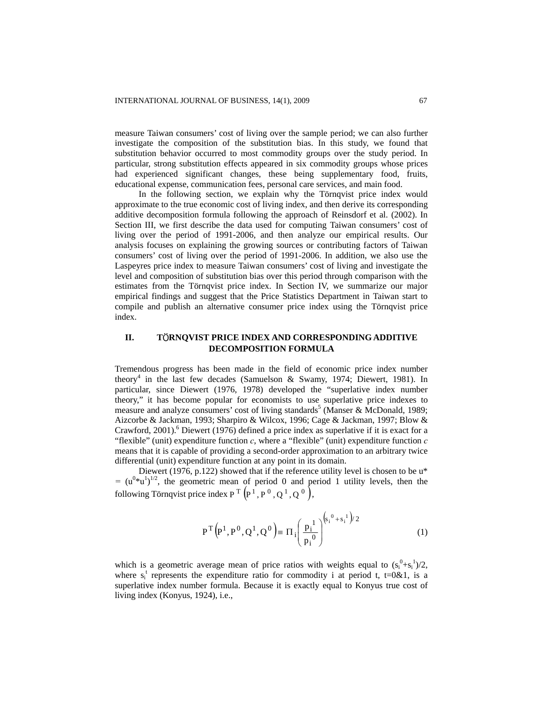measure Taiwan consumers' cost of living over the sample period; we can also further investigate the composition of the substitution bias. In this study, we found that substitution behavior occurred to most commodity groups over the study period. In particular, strong substitution effects appeared in six commodity groups whose prices had experienced significant changes, these being supplementary food, fruits, educational expense, communication fees, personal care services, and main food.

In the following section, we explain why the Törnqvist price index would approximate to the true economic cost of living index, and then derive its corresponding additive decomposition formula following the approach of Reinsdorf et al. (2002). In Section III, we first describe the data used for computing Taiwan consumers' cost of living over the period of 1991-2006, and then analyze our empirical results. Our analysis focuses on explaining the growing sources or contributing factors of Taiwan consumers' cost of living over the period of 1991-2006. In addition, we also use the Laspeyres price index to measure Taiwan consumers' cost of living and investigate the level and composition of substitution bias over this period through comparison with the estimates from the Törnqvist price index. In Section IV, we summarize our major empirical findings and suggest that the Price Statistics Department in Taiwan start to compile and publish an alternative consumer price index using the Törnqvist price index.

# **II. T**Ö**RNQVIST PRICE INDEX AND CORRESPONDING ADDITIVE DECOMPOSITION FORMULA**

Tremendous progress has been made in the field of economic price index number theory4 in the last few decades (Samuelson & Swamy, 1974; Diewert, 1981). In particular, since Diewert (1976, 1978) developed the "superlative index number theory," it has become popular for economists to use superlative price indexes to measure and analyze consumers' cost of living standards<sup>5</sup> (Manser & McDonald, 1989; Aizcorbe & Jackman, 1993; Sharpiro & Wilcox, 1996; Cage & Jackman, 1997; Blow & Crawford, 2001).<sup>6</sup> Diewert (1976) defined a price index as superlative if it is exact for a "flexible" (unit) expenditure function *c*, where a "flexible" (unit) expenditure function *c* means that it is capable of providing a second-order approximation to an arbitrary twice differential (unit) expenditure function at any point in its domain.

Diewert (1976, p.122) showed that if the reference utility level is chosen to be  $u^*$  $=$   $(u^{0}$ <sup> $\star$ </sup> $u^{1})^{1/2}$ , the geometric mean of period 0 and period 1 utility levels, then the following Törnqvist price index  $P^T(P^1, P^0, Q^1, Q^0)$ ,

$$
P^{T}(P^{1}, P^{0}, Q^{1}, Q^{0}) \equiv \Pi_{i} \left( \frac{p_{i}^{1}}{p_{i}^{0}} \right)^{\left( s_{i}^{0} + s_{i}^{1} \right) / 2}
$$
(1)

which is a geometric average mean of price ratios with weights equal to  $(s_i^0 + s_i^1)/2$ , where  $s_i^t$  represents the expenditure ratio for commodity i at period t, t=0&1, is a superlative index number formula. Because it is exactly equal to Konyus true cost of living index (Konyus, 1924), i.e.,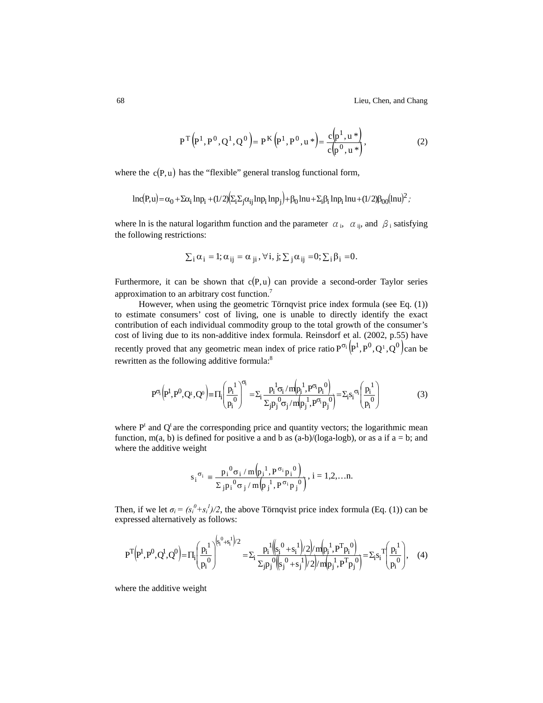68 Lieu, Chen, and Chang

$$
P^{T}(P^{1}, P^{0}, Q^{1}, Q^{0}) = P^{K}(P^{1}, P^{0}, u^{*}) = \frac{c(p^{1}, u^{*})}{c(p^{0}, u^{*})},
$$
\n(2)

where the  $c(P, u)$  has the "flexible" general translog functional form,

$$
ln(P,u) = \alpha_0 + \Sigma \alpha_i \, ln p_i + (1/2) \left( \Sigma_i \Sigma_j \alpha_{ij} \, ln p_i \, ln p_j \right) + \beta_0 \, ln u + \Sigma_i \beta_i \, ln p_i \, ln u + (1/2) \beta_{00} \bigl( ln u \bigr)^2 \, ;
$$

where ln is the natural logarithm function and the parameter  $\alpha_i$ ,  $\alpha_{ij}$ , and  $\beta_i$  satisfying the following restrictions:

$$
\sum_i \alpha_i = 1; \alpha_{ij} = \alpha_{ji}, \forall i, j; \sum_j \alpha_{ij} = 0; \sum_i \beta_i = 0.
$$

Furthermore, it can be shown that  $c(P, u)$  can provide a second-order Taylor series approximation to an arbitrary cost function.7

However, when using the geometric Törnqvist price index formula (see Eq. (1)) to estimate consumers' cost of living, one is unable to directly identify the exact contribution of each individual commodity group to the total growth of the consumer's cost of living due to its non-additive index formula. Reinsdorf et al. (2002, p.55) have recently proved that any geometric mean index of price ratio  $P^{\sigma_i}(P^1, P^0, Q^1, Q^0)$ can be rewritten as the following additive formula:<sup>8</sup>

$$
P^{\sigma_{i}}\left(p^{1},p^{0},Q^{i},Q^{0}\right) \equiv \Pi_{i}\left(\frac{p_{i}^{1}}{p_{i}^{0}}\right)^{\sigma_{i}} = \Sigma_{i}\frac{p_{i}^{1}\sigma_{i}/m(p_{i}^{1},P^{\sigma_{i}}p_{i}^{0})}{\Sigma_{j}p_{j}^{0}\sigma_{j}/m(p_{j}^{1},P^{\sigma_{i}}p_{j}^{0})} = \Sigma_{i}s_{i}^{1}\sigma_{i}\left(\frac{p_{i}^{1}}{p_{i}^{0}}\right)
$$
(3)

where  $P<sup>t</sup>$  and  $Q<sup>t</sup>$  are the corresponding price and quantity vectors; the logarithmic mean function, m(a, b) is defined for positive a and b as  $(a-b)/(log a-log b)$ , or as a if  $a = b$ ; and where the additive weight

$$
s_{i}^{\sigma_{i}} = \frac{p_{i}^{\ 0} \sigma_{i} / m(p_{i}^{\ 1}, P^{\sigma_{i}} p_{i}^{\ 0})}{\Sigma_{j} p_{i}^{\ 0} \sigma_{j} / m(p_{j}^{\ 1}, P^{\sigma_{i}} p_{j}^{\ 0})}, i = 1, 2, \ldots n.
$$

Then, if we let  $\sigma_i = (s_i^0 + s_i^1)/2$ , the above Törnqvist price index formula (Eq. (1)) can be expressed alternatively as follows:

$$
P^{T}(P^{1},P^{0},Q^{1},Q^{0}) = \Pi_{i} \left(\frac{p_{i}^{1}}{p_{i}^{0}}\right)^{(s_{i}^{0}+s_{i}^{1})/2} = \Sigma_{i} \frac{p_{i}^{1}((s_{i}^{0}+s_{i}^{1})/2)/m(p_{i}^{1},P^{T}p_{i}^{0})}{\Sigma_{j}p_{j}^{0}((s_{j}^{0}+s_{j}^{1})/2)/m(p_{j}^{1},P^{T}p_{j}^{0})} = \Sigma_{i}s_{i}^{T}\left(\frac{p_{i}^{1}}{p_{i}^{0}}\right), \quad (4)
$$

where the additive weight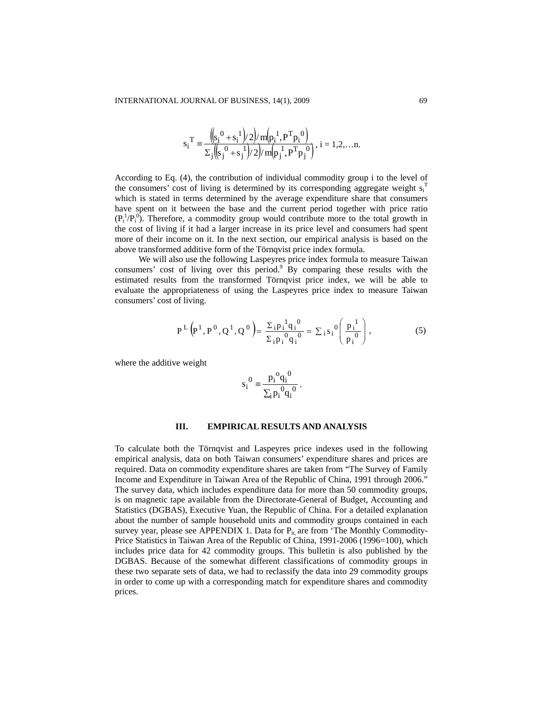$$
s_i^T = \frac{{\left(\!\left(s_i^0 + s_i^1\right)/2\right)}{m\left(\!\left(s_i^0 + s_j^1\right)/2\right)}{m\left(\!\left(s_i^0 + s_j^1\right)/2\right)}}, i = 1, 2, \dots n.
$$

According to Eq. (4), the contribution of individual commodity group i to the level of the consumers' cost of living is determined by its corresponding aggregate weight  $s_i^T$ which is stated in terms determined by the average expenditure share that consumers have spent on it between the base and the current period together with price ratio  $(P_i^1/P_i^0)$ . Therefore, a commodity group would contribute more to the total growth in the cost of living if it had a larger increase in its price level and consumers had spent more of their income on it. In the next section, our empirical analysis is based on the above transformed additive form of the Törnqvist price index formula.

We will also use the following Laspeyres price index formula to measure Taiwan consumers' cost of living over this period.<sup>9</sup> By comparing these results with the estimated results from the transformed Törnqvist price index, we will be able to evaluate the appropriateness of using the Laspeyres price index to measure Taiwan consumers' cost of living.

$$
P^{L}(P^{1}, P^{0}, Q^{1}, Q^{0}) = \frac{\Sigma_{i} p_{i}^{1} q_{i}^{0}}{\Sigma_{i} p_{i}^{0} q_{i}^{0}} = \Sigma_{i} s_{i}^{0} \left(\frac{p_{i}^{1}}{p_{i}^{0}}\right),
$$
(5)

where the additive weight

$$
s_i^0 = \frac{p_i^0 q_i^0}{\sum_i p_i^0 q_i^0}.
$$

#### **III. EMPIRICAL RESULTS AND ANALYSIS**

To calculate both the Törnqvist and Laspeyres price indexes used in the following empirical analysis, data on both Taiwan consumers' expenditure shares and prices are required. Data on commodity expenditure shares are taken from "The Survey of Family Income and Expenditure in Taiwan Area of the Republic of China, 1991 through 2006." The survey data, which includes expenditure data for more than 50 commodity groups, is on magnetic tape available from the Directorate-General of Budget, Accounting and Statistics (DGBAS), Executive Yuan, the Republic of China. For a detailed explanation about the number of sample household units and commodity groups contained in each survey year, please see APPENDIX 1. Data for  $P_{it}$  are from 'The Monthly Commodity-Price Statistics in Taiwan Area of the Republic of China, 1991-2006 (1996=100), which includes price data for 42 commodity groups. This bulletin is also published by the DGBAS. Because of the somewhat different classifications of commodity groups in these two separate sets of data, we had to reclassify the data into 29 commodity groups in order to come up with a corresponding match for expenditure shares and commodity prices.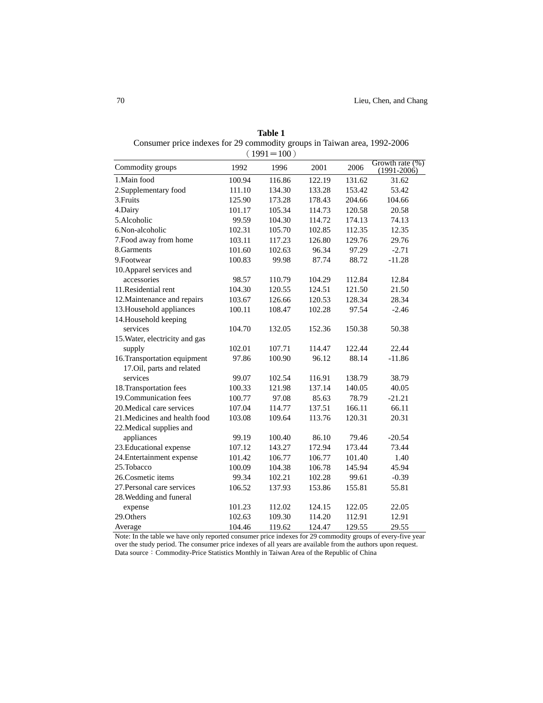|                                |        | $(1991=100)$ |        |        |                                       |
|--------------------------------|--------|--------------|--------|--------|---------------------------------------|
| Commodity groups               | 1992   | 1996         | 2001   | 2006   | Growth rate $(\%)$<br>$(1991 - 2006)$ |
| 1. Main food                   | 100.94 | 116.86       | 122.19 | 131.62 | 31.62                                 |
| 2. Supplementary food          | 111.10 | 134.30       | 133.28 | 153.42 | 53.42                                 |
| 3. Fruits                      | 125.90 | 173.28       | 178.43 | 204.66 | 104.66                                |
| 4.Dairy                        | 101.17 | 105.34       | 114.73 | 120.58 | 20.58                                 |
| 5.Alcoholic                    | 99.59  | 104.30       | 114.72 | 174.13 | 74.13                                 |
| 6.Non-alcoholic                | 102.31 | 105.70       | 102.85 | 112.35 | 12.35                                 |
| 7. Food away from home         | 103.11 | 117.23       | 126.80 | 129.76 | 29.76                                 |
| 8.Garments                     | 101.60 | 102.63       | 96.34  | 97.29  | $-2.71$                               |
| 9. Footwear                    | 100.83 | 99.98        | 87.74  | 88.72  | $-11.28$                              |
| 10. Apparel services and       |        |              |        |        |                                       |
| accessories                    | 98.57  | 110.79       | 104.29 | 112.84 | 12.84                                 |
| 11.Residential rent            | 104.30 | 120.55       | 124.51 | 121.50 | 21.50                                 |
| 12. Maintenance and repairs    | 103.67 | 126.66       | 120.53 | 128.34 | 28.34                                 |
| 13. Household appliances       | 100.11 | 108.47       | 102.28 | 97.54  | $-2.46$                               |
| 14. Household keeping          |        |              |        |        |                                       |
| services                       | 104.70 | 132.05       | 152.36 | 150.38 | 50.38                                 |
| 15. Water, electricity and gas |        |              |        |        |                                       |
| supply                         | 102.01 | 107.71       | 114.47 | 122.44 | 22.44                                 |
| 16. Transportation equipment   | 97.86  | 100.90       | 96.12  | 88.14  | $-11.86$                              |
| 17.Oil, parts and related      |        |              |        |        |                                       |
| services                       | 99.07  | 102.54       | 116.91 | 138.79 | 38.79                                 |
| 18. Transportation fees        | 100.33 | 121.98       | 137.14 | 140.05 | 40.05                                 |
| 19. Communication fees         | 100.77 | 97.08        | 85.63  | 78.79  | $-21.21$                              |
| 20. Medical care services      | 107.04 | 114.77       | 137.51 | 166.11 | 66.11                                 |
| 21. Medicines and health food  | 103.08 | 109.64       | 113.76 | 120.31 | 20.31                                 |
| 22. Medical supplies and       |        |              |        |        |                                       |
| appliances                     | 99.19  | 100.40       | 86.10  | 79.46  | $-20.54$                              |
| 23. Educational expense        | 107.12 | 143.27       | 172.94 | 173.44 | 73.44                                 |
| 24. Entertainment expense      | 101.42 | 106.77       | 106.77 | 101.40 | 1.40                                  |
| 25.Tobacco                     | 100.09 | 104.38       | 106.78 | 145.94 | 45.94                                 |
| 26. Cosmetic items             | 99.34  | 102.21       | 102.28 | 99.61  | $-0.39$                               |
| 27. Personal care services     | 106.52 | 137.93       | 153.86 | 155.81 | 55.81                                 |
| 28. Wedding and funeral        |        |              |        |        |                                       |
| expense                        | 101.23 | 112.02       | 124.15 | 122.05 | 22.05                                 |
| 29.Others                      | 102.63 | 109.30       | 114.20 | 112.91 | 12.91                                 |
| Average                        | 104.46 | 119.62       | 124.47 | 129.55 | 29.55                                 |

**Table 1**  Consumer price indexes for 29 commodity groups in Taiwan area, 1992-2006

Note: In the table we have only reported consumer price indexes for 29 commodity groups of every-five year over the study period. The consumer price indexes of all years are available from the authors upon request. Data source: Commodity-Price Statistics Monthly in Taiwan Area of the Republic of China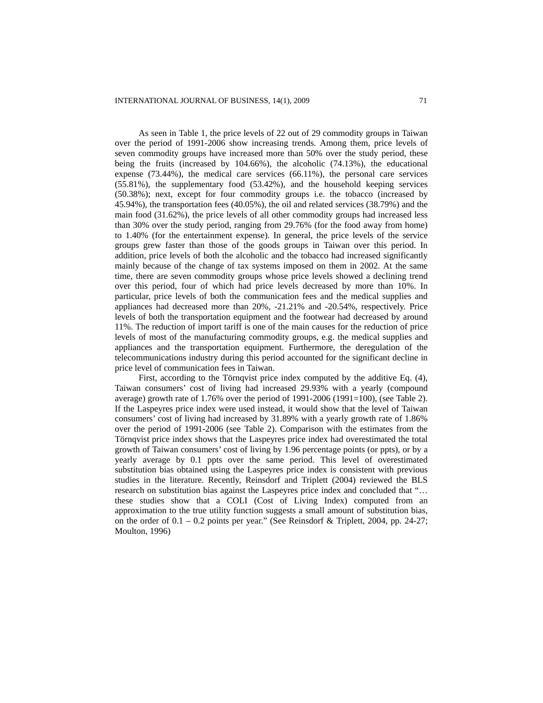As seen in Table 1, the price levels of 22 out of 29 commodity groups in Taiwan over the period of 1991-2006 show increasing trends. Among them, price levels of seven commodity groups have increased more than 50% over the study period, these being the fruits (increased by 104.66%), the alcoholic (74.13%), the educational expense (73.44%), the medical care services (66.11%), the personal care services (55.81%), the supplementary food (53.42%), and the household keeping services (50.38%); next, except for four commodity groups i.e. the tobacco (increased by 45.94%), the transportation fees (40.05%), the oil and related services (38.79%) and the main food (31.62%), the price levels of all other commodity groups had increased less than 30% over the study period, ranging from 29.76% (for the food away from home) to 1.40% (for the entertainment expense). In general, the price levels of the service groups grew faster than those of the goods groups in Taiwan over this period. In addition, price levels of both the alcoholic and the tobacco had increased significantly mainly because of the change of tax systems imposed on them in 2002. At the same time, there are seven commodity groups whose price levels showed a declining trend over this period, four of which had price levels decreased by more than 10%. In particular, price levels of both the communication fees and the medical supplies and appliances had decreased more than 20%, -21.21% and -20.54%, respectively. Price levels of both the transportation equipment and the footwear had decreased by around 11%. The reduction of import tariff is one of the main causes for the reduction of price levels of most of the manufacturing commodity groups, e.g. the medical supplies and appliances and the transportation equipment. Furthermore, the deregulation of the telecommunications industry during this period accounted for the significant decline in price level of communication fees in Taiwan.

First, according to the Törnqvist price index computed by the additive Eq. (4), Taiwan consumers' cost of living had increased 29.93% with a yearly (compound average) growth rate of 1.76% over the period of 1991-2006 (1991=100), (see Table 2). If the Laspeyres price index were used instead, it would show that the level of Taiwan consumers' cost of living had increased by 31.89% with a yearly growth rate of 1.86% over the period of 1991-2006 (see Table 2). Comparison with the estimates from the Törnqvist price index shows that the Laspeyres price index had overestimated the total growth of Taiwan consumers' cost of living by 1.96 percentage points (or ppts), or by a yearly average by 0.1 ppts over the same period. This level of overestimated substitution bias obtained using the Laspeyres price index is consistent with previous studies in the literature. Recently, Reinsdorf and Triplett (2004) reviewed the BLS research on substitution bias against the Laspeyres price index and concluded that "... these studies show that a COLI (Cost of Living Index) computed from an approximation to the true utility function suggests a small amount of substitution bias, on the order of  $0.1 - 0.2$  points per year." (See Reinsdorf & Triplett, 2004, pp. 24-27; Moulton, 1996)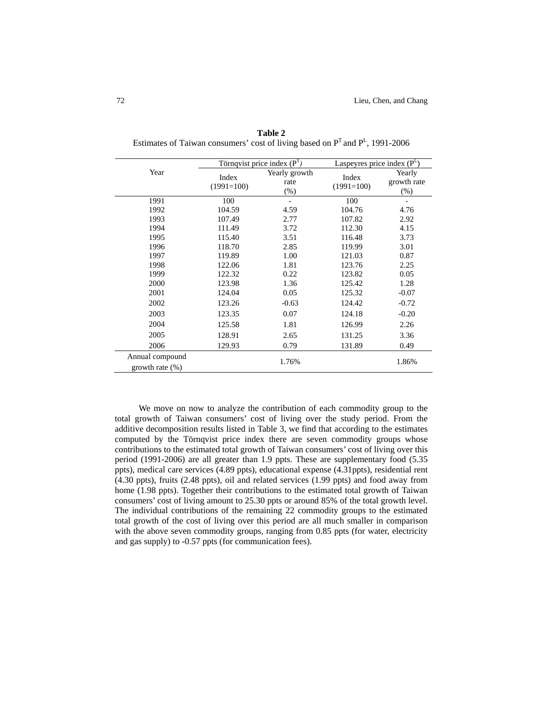|                    |                       | Törnqvist price index $(PT)$    |                       | Laspeyres price index $(P^L)$   |  |  |
|--------------------|-----------------------|---------------------------------|-----------------------|---------------------------------|--|--|
| Year               | Index<br>$(1991=100)$ | Yearly growth<br>rate<br>$(\%)$ | Index<br>$(1991=100)$ | Yearly<br>growth rate<br>$(\%)$ |  |  |
| 1991               | 100                   |                                 | 100                   |                                 |  |  |
| 1992               | 104.59                | 4.59                            | 104.76                | 4.76                            |  |  |
| 1993               | 107.49                | 2.77                            | 107.82                | 2.92                            |  |  |
| 1994               | 111.49                | 3.72                            | 112.30                | 4.15                            |  |  |
| 1995               | 115.40                | 3.51                            | 116.48                | 3.73                            |  |  |
| 1996               | 118.70                | 2.85                            | 119.99                | 3.01                            |  |  |
| 1997               | 119.89                | 1.00                            | 121.03                | 0.87                            |  |  |
| 1998               | 122.06                | 1.81                            | 123.76                | 2.25                            |  |  |
| 1999               | 122.32                | 0.22                            | 123.82                | 0.05                            |  |  |
| 2000               | 123.98                | 1.36                            | 125.42                | 1.28                            |  |  |
| 2001               | 124.04                | 0.05                            | 125.32                | $-0.07$                         |  |  |
| 2002               | 123.26                | $-0.63$                         | 124.42                | $-0.72$                         |  |  |
| 2003               | 123.35                | 0.07                            | 124.18                | $-0.20$                         |  |  |
| 2004               | 125.58                | 1.81                            | 126.99                | 2.26                            |  |  |
| 2005               | 128.91                | 2.65                            | 131.25                | 3.36                            |  |  |
| 2006               | 129.93                | 0.79                            | 131.89                | 0.49                            |  |  |
| Annual compound    |                       | 1.76%<br>1.86%                  |                       |                                 |  |  |
| growth rate $(\%)$ |                       |                                 |                       |                                 |  |  |

**Table 2**  Estimates of Taiwan consumers' cost of living based on  $P<sup>T</sup>$  and  $P<sup>L</sup>$ , 1991-2006

We move on now to analyze the contribution of each commodity group to the total growth of Taiwan consumers' cost of living over the study period. From the additive decomposition results listed in Table 3, we find that according to the estimates computed by the Törnqvist price index there are seven commodity groups whose contributions to the estimated total growth of Taiwan consumers' cost of living over this period (1991-2006) are all greater than 1.9 ppts. These are supplementary food (5.35 ppts), medical care services (4.89 ppts), educational expense (4.31ppts), residential rent (4.30 ppts), fruits (2.48 ppts), oil and related services (1.99 ppts) and food away from home (1.98 ppts). Together their contributions to the estimated total growth of Taiwan consumers' cost of living amount to 25.30 ppts or around 85% of the total growth level. The individual contributions of the remaining 22 commodity groups to the estimated total growth of the cost of living over this period are all much smaller in comparison with the above seven commodity groups, ranging from 0.85 ppts (for water, electricity and gas supply) to -0.57 ppts (for communication fees).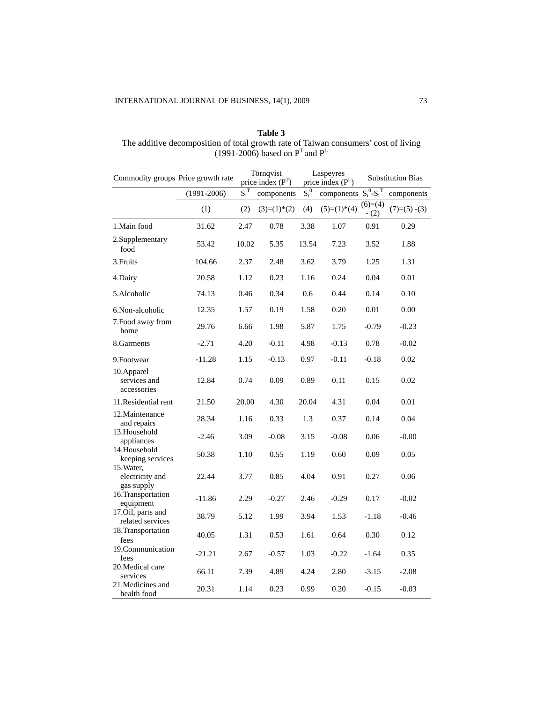## **Table 3**  The additive decomposition of total growth rate of Taiwan consumers' cost of living (1991-2006) based on  $P<sup>T</sup>$  and  $P<sup>L</sup>$

|                                             | Törnqvist<br>Commodity groups Price growth rate<br>price index $(P^T)$ |         |                | Laspeyres<br>price index (PL) |                              | <b>Substitution Bias</b> |                |
|---------------------------------------------|------------------------------------------------------------------------|---------|----------------|-------------------------------|------------------------------|--------------------------|----------------|
|                                             | $(1991 - 2006)$                                                        | $S_i^T$ | components     | $S_i^0$                       | components $S_i^0$ - $S_i^T$ |                          | components     |
|                                             | (1)                                                                    | (2)     | $(3)=(1)^*(2)$ | (4)                           | $(5)=(1)*(4)$                | $(6)=(4)$<br>$- (2)$     | $(7)=(5)$ -(3) |
| 1.Main food                                 | 31.62                                                                  | 2.47    | 0.78           | 3.38                          | 1.07                         | 0.91                     | 0.29           |
| 2.Supplementary<br>food                     | 53.42                                                                  | 10.02   | 5.35           | 13.54                         | 7.23                         | 3.52                     | 1.88           |
| 3. Fruits                                   | 104.66                                                                 | 2.37    | 2.48           | 3.62                          | 3.79                         | 1.25                     | 1.31           |
| 4.Dairy                                     | 20.58                                                                  | 1.12    | 0.23           | 1.16                          | 0.24                         | 0.04                     | 0.01           |
| 5.Alcoholic                                 | 74.13                                                                  | 0.46    | 0.34           | 0.6                           | 0.44                         | 0.14                     | 0.10           |
| 6. Non-alcoholic                            | 12.35                                                                  | 1.57    | 0.19           | 1.58                          | 0.20                         | 0.01                     | 0.00           |
| 7. Food away from<br>home                   | 29.76                                                                  | 6.66    | 1.98           | 5.87                          | 1.75                         | $-0.79$                  | $-0.23$        |
| 8. Garments                                 | $-2.71$                                                                | 4.20    | $-0.11$        | 4.98                          | $-0.13$                      | 0.78                     | $-0.02$        |
| 9. Footwear                                 | $-11.28$                                                               | 1.15    | $-0.13$        | 0.97                          | $-0.11$                      | $-0.18$                  | 0.02           |
| 10.Apparel<br>services and<br>accessories   | 12.84                                                                  | 0.74    | 0.09           | 0.89                          | 0.11                         | 0.15                     | 0.02           |
| 11. Residential rent                        | 21.50                                                                  | 20.00   | 4.30           | 20.04                         | 4.31                         | 0.04                     | 0.01           |
| 12. Maintenance<br>and repairs              | 28.34                                                                  | 1.16    | 0.33           | 1.3                           | 0.37                         | 0.14                     | 0.04           |
| 13.Household<br>appliances                  | $-2.46$                                                                | 3.09    | $-0.08$        | 3.15                          | $-0.08$                      | 0.06                     | $-0.00$        |
| 14.Household<br>keeping services            | 50.38                                                                  | 1.10    | 0.55           | 1.19                          | 0.60                         | 0.09                     | 0.05           |
| 15. Water,<br>electricity and<br>gas supply | 22.44                                                                  | 3.77    | 0.85           | 4.04                          | 0.91                         | 0.27                     | 0.06           |
| 16.Transportation<br>equipment              | $-11.86$                                                               | 2.29    | $-0.27$        | 2.46                          | $-0.29$                      | 0.17                     | $-0.02$        |
| 17.Oil, parts and<br>related services       | 38.79                                                                  | 5.12    | 1.99           | 3.94                          | 1.53                         | $-1.18$                  | $-0.46$        |
| 18. Transportation<br>fees                  | 40.05                                                                  | 1.31    | 0.53           | 1.61                          | 0.64                         | 0.30                     | 0.12           |
| 19. Communication<br>fees                   | $-21.21$                                                               | 2.67    | $-0.57$        | 1.03                          | $-0.22$                      | $-1.64$                  | 0.35           |
| 20. Medical care<br>services                | 66.11                                                                  | 7.39    | 4.89           | 4.24                          | 2.80                         | $-3.15$                  | $-2.08$        |
| 21. Medicines and<br>health food            | 20.31                                                                  | 1.14    | 0.23           | 0.99                          | 0.20                         | $-0.15$                  | $-0.03$        |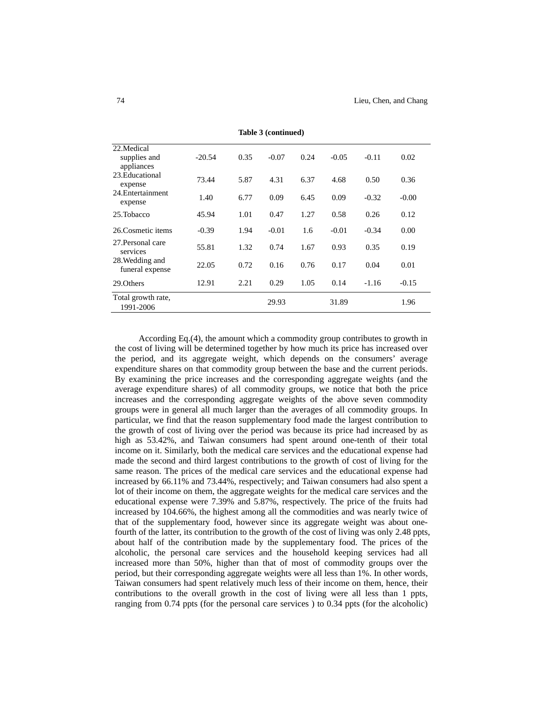| 22. Medical<br>supplies and<br>appliances | $-20.54$ | 0.35 | $-0.07$ | 0.24 | $-0.05$ | $-0.11$ | 0.02    |  |
|-------------------------------------------|----------|------|---------|------|---------|---------|---------|--|
| 23. Educational<br>expense                | 73.44    | 5.87 | 4.31    | 6.37 | 4.68    | 0.50    | 0.36    |  |
| 24. Entertainment<br>expense              | 1.40     | 6.77 | 0.09    | 6.45 | 0.09    | $-0.32$ | $-0.00$ |  |
| 25. Tobacco                               | 45.94    | 1.01 | 0.47    | 1.27 | 0.58    | 0.26    | 0.12    |  |
| 26. Cosmetic items                        | $-0.39$  | 1.94 | $-0.01$ | 1.6  | $-0.01$ | $-0.34$ | 0.00    |  |
| 27. Personal care<br>services             | 55.81    | 1.32 | 0.74    | 1.67 | 0.93    | 0.35    | 0.19    |  |
| 28. Wedding and<br>funeral expense        | 22.05    | 0.72 | 0.16    | 0.76 | 0.17    | 0.04    | 0.01    |  |
| 29. Others                                | 12.91    | 2.21 | 0.29    | 1.05 | 0.14    | $-1.16$ | $-0.15$ |  |
| Total growth rate,<br>1991-2006           |          |      | 29.93   |      | 31.89   |         | 1.96    |  |

**Table 3 (continued)** 

According Eq.(4), the amount which a commodity group contributes to growth in the cost of living will be determined together by how much its price has increased over the period, and its aggregate weight, which depends on the consumers' average expenditure shares on that commodity group between the base and the current periods. By examining the price increases and the corresponding aggregate weights (and the average expenditure shares) of all commodity groups, we notice that both the price increases and the corresponding aggregate weights of the above seven commodity groups were in general all much larger than the averages of all commodity groups. In particular, we find that the reason supplementary food made the largest contribution to the growth of cost of living over the period was because its price had increased by as high as 53.42%, and Taiwan consumers had spent around one-tenth of their total income on it. Similarly, both the medical care services and the educational expense had made the second and third largest contributions to the growth of cost of living for the same reason. The prices of the medical care services and the educational expense had increased by 66.11% and 73.44%, respectively; and Taiwan consumers had also spent a lot of their income on them, the aggregate weights for the medical care services and the educational expense were 7.39% and 5.87%, respectively. The price of the fruits had increased by 104.66%, the highest among all the commodities and was nearly twice of that of the supplementary food, however since its aggregate weight was about onefourth of the latter, its contribution to the growth of the cost of living was only 2.48 ppts, about half of the contribution made by the supplementary food. The prices of the alcoholic, the personal care services and the household keeping services had all increased more than 50%, higher than that of most of commodity groups over the period, but their corresponding aggregate weights were all less than 1%. In other words, Taiwan consumers had spent relatively much less of their income on them, hence, their contributions to the overall growth in the cost of living were all less than 1 ppts, ranging from 0.74 ppts (for the personal care services ) to 0.34 ppts (for the alcoholic)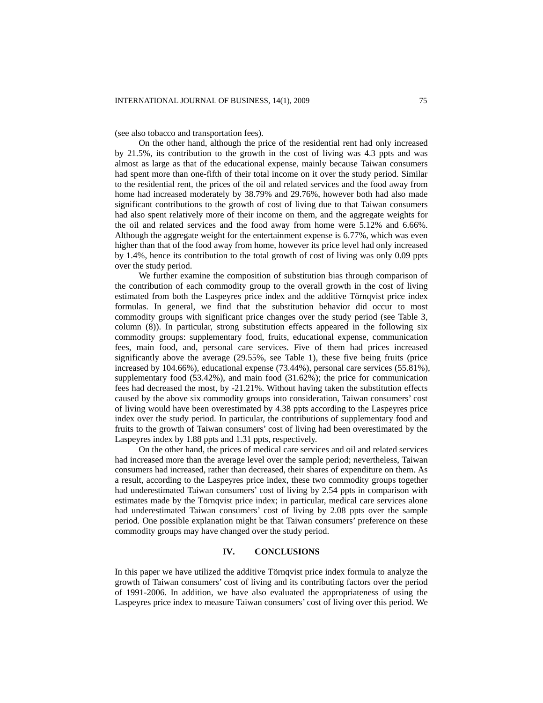(see also tobacco and transportation fees).

On the other hand, although the price of the residential rent had only increased by 21.5%, its contribution to the growth in the cost of living was 4.3 ppts and was almost as large as that of the educational expense, mainly because Taiwan consumers had spent more than one-fifth of their total income on it over the study period. Similar to the residential rent, the prices of the oil and related services and the food away from home had increased moderately by 38.79% and 29.76%, however both had also made significant contributions to the growth of cost of living due to that Taiwan consumers had also spent relatively more of their income on them, and the aggregate weights for the oil and related services and the food away from home were 5.12% and 6.66%. Although the aggregate weight for the entertainment expense is 6.77%, which was even higher than that of the food away from home, however its price level had only increased by 1.4%, hence its contribution to the total growth of cost of living was only 0.09 ppts over the study period.

We further examine the composition of substitution bias through comparison of the contribution of each commodity group to the overall growth in the cost of living estimated from both the Laspeyres price index and the additive Törnqvist price index formulas. In general, we find that the substitution behavior did occur to most commodity groups with significant price changes over the study period (see Table 3, column (8)). In particular, strong substitution effects appeared in the following six commodity groups: supplementary food, fruits, educational expense, communication fees, main food, and, personal care services. Five of them had prices increased significantly above the average (29.55%, see Table 1), these five being fruits (price increased by 104.66%), educational expense (73.44%), personal care services (55.81%), supplementary food (53.42%), and main food (31.62%); the price for communication fees had decreased the most, by -21.21%. Without having taken the substitution effects caused by the above six commodity groups into consideration, Taiwan consumers' cost of living would have been overestimated by 4.38 ppts according to the Laspeyres price index over the study period. In particular, the contributions of supplementary food and fruits to the growth of Taiwan consumers' cost of living had been overestimated by the Laspeyres index by 1.88 ppts and 1.31 ppts, respectively.

On the other hand, the prices of medical care services and oil and related services had increased more than the average level over the sample period; nevertheless, Taiwan consumers had increased, rather than decreased, their shares of expenditure on them. As a result, according to the Laspeyres price index, these two commodity groups together had underestimated Taiwan consumers' cost of living by 2.54 ppts in comparison with estimates made by the Törnqvist price index; in particular, medical care services alone had underestimated Taiwan consumers' cost of living by 2.08 ppts over the sample period. One possible explanation might be that Taiwan consumers' preference on these commodity groups may have changed over the study period.

## **IV. CONCLUSIONS**

In this paper we have utilized the additive Törnqvist price index formula to analyze the growth of Taiwan consumers' cost of living and its contributing factors over the period of 1991-2006. In addition, we have also evaluated the appropriateness of using the Laspeyres price index to measure Taiwan consumers' cost of living over this period. We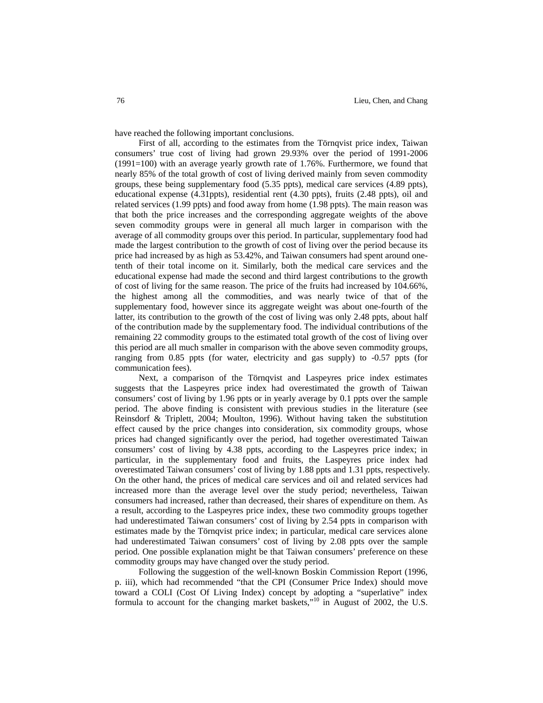have reached the following important conclusions.

First of all, according to the estimates from the Törnqvist price index, Taiwan consumers' true cost of living had grown 29.93% over the period of 1991-2006 (1991=100) with an average yearly growth rate of 1.76%. Furthermore, we found that nearly 85% of the total growth of cost of living derived mainly from seven commodity groups, these being supplementary food (5.35 ppts), medical care services (4.89 ppts), educational expense (4.31ppts), residential rent (4.30 ppts), fruits (2.48 ppts), oil and related services (1.99 ppts) and food away from home (1.98 ppts). The main reason was that both the price increases and the corresponding aggregate weights of the above seven commodity groups were in general all much larger in comparison with the average of all commodity groups over this period. In particular, supplementary food had made the largest contribution to the growth of cost of living over the period because its price had increased by as high as 53.42%, and Taiwan consumers had spent around onetenth of their total income on it. Similarly, both the medical care services and the educational expense had made the second and third largest contributions to the growth of cost of living for the same reason. The price of the fruits had increased by 104.66%, the highest among all the commodities, and was nearly twice of that of the supplementary food, however since its aggregate weight was about one-fourth of the latter, its contribution to the growth of the cost of living was only 2.48 ppts, about half of the contribution made by the supplementary food. The individual contributions of the remaining 22 commodity groups to the estimated total growth of the cost of living over this period are all much smaller in comparison with the above seven commodity groups, ranging from 0.85 ppts (for water, electricity and gas supply) to -0.57 ppts (for communication fees).

Next, a comparison of the Törnqvist and Laspeyres price index estimates suggests that the Laspeyres price index had overestimated the growth of Taiwan consumers' cost of living by 1.96 ppts or in yearly average by 0.1 ppts over the sample period. The above finding is consistent with previous studies in the literature (see Reinsdorf & Triplett, 2004; Moulton, 1996). Without having taken the substitution effect caused by the price changes into consideration, six commodity groups, whose prices had changed significantly over the period, had together overestimated Taiwan consumers' cost of living by 4.38 ppts, according to the Laspeyres price index; in particular, in the supplementary food and fruits, the Laspeyres price index had overestimated Taiwan consumers' cost of living by 1.88 ppts and 1.31 ppts, respectively. On the other hand, the prices of medical care services and oil and related services had increased more than the average level over the study period; nevertheless, Taiwan consumers had increased, rather than decreased, their shares of expenditure on them. As a result, according to the Laspeyres price index, these two commodity groups together had underestimated Taiwan consumers' cost of living by 2.54 ppts in comparison with estimates made by the Törnqvist price index; in particular, medical care services alone had underestimated Taiwan consumers' cost of living by 2.08 ppts over the sample period. One possible explanation might be that Taiwan consumers' preference on these commodity groups may have changed over the study period.

Following the suggestion of the well-known Boskin Commission Report (1996, p. iii), which had recommended "that the CPI (Consumer Price Index) should move toward a COLI (Cost Of Living Index) concept by adopting a "superlative" index formula to account for the changing market baskets,"10 in August of 2002, the U.S.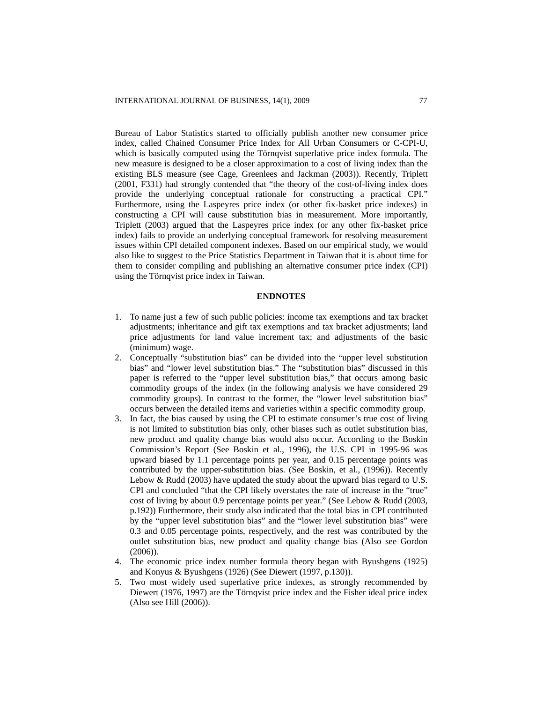Bureau of Labor Statistics started to officially publish another new consumer price index, called Chained Consumer Price Index for All Urban Consumers or C-CPI-U, which is basically computed using the Törnqvist superlative price index formula. The new measure is designed to be a closer approximation to a cost of living index than the existing BLS measure (see Cage, Greenlees and Jackman (2003)). Recently, Triplett (2001, F331) had strongly contended that "the theory of the cost-of-living index does provide the underlying conceptual rationale for constructing a practical CPI." Furthermore, using the Laspeyres price index (or other fix-basket price indexes) in constructing a CPI will cause substitution bias in measurement. More importantly, Triplett (2003) argued that the Laspeyres price index (or any other fix-basket price index) fails to provide an underlying conceptual framework for resolving measurement issues within CPI detailed component indexes. Based on our empirical study, we would also like to suggest to the Price Statistics Department in Taiwan that it is about time for them to consider compiling and publishing an alternative consumer price index (CPI) using the Törnqvist price index in Taiwan.

#### **ENDNOTES**

- 1. To name just a few of such public policies: income tax exemptions and tax bracket adjustments; inheritance and gift tax exemptions and tax bracket adjustments; land price adjustments for land value increment tax; and adjustments of the basic (minimum) wage.
- 2. Conceptually "substitution bias" can be divided into the "upper level substitution bias" and "lower level substitution bias." The "substitution bias" discussed in this paper is referred to the "upper level substitution bias," that occurs among basic commodity groups of the index (in the following analysis we have considered 29 commodity groups). In contrast to the former, the "lower level substitution bias" occurs between the detailed items and varieties within a specific commodity group.
- 3. In fact, the bias caused by using the CPI to estimate consumer's true cost of living is not limited to substitution bias only, other biases such as outlet substitution bias, new product and quality change bias would also occur. According to the Boskin Commission's Report (See Boskin et al., 1996), the U.S. CPI in 1995-96 was upward biased by 1.1 percentage points per year, and 0.15 percentage points was contributed by the upper-substitution bias. (See Boskin, et al., (1996)). Recently Lebow & Rudd (2003) have updated the study about the upward bias regard to U.S. CPI and concluded "that the CPI likely overstates the rate of increase in the "true" cost of living by about 0.9 percentage points per year." (See Lebow & Rudd (2003, p.192)) Furthermore, their study also indicated that the total bias in CPI contributed by the "upper level substitution bias" and the "lower level substitution bias" were 0.3 and 0.05 percentage points, respectively, and the rest was contributed by the outlet substitution bias, new product and quality change bias (Also see Gordon (2006)).
- 4. The economic price index number formula theory began with Byushgens (1925) and Konyus & Byushgens (1926) (See Diewert (1997, p.130)).
- 5. Two most widely used superlative price indexes, as strongly recommended by Diewert (1976, 1997) are the Törnqvist price index and the Fisher ideal price index (Also see Hill (2006)).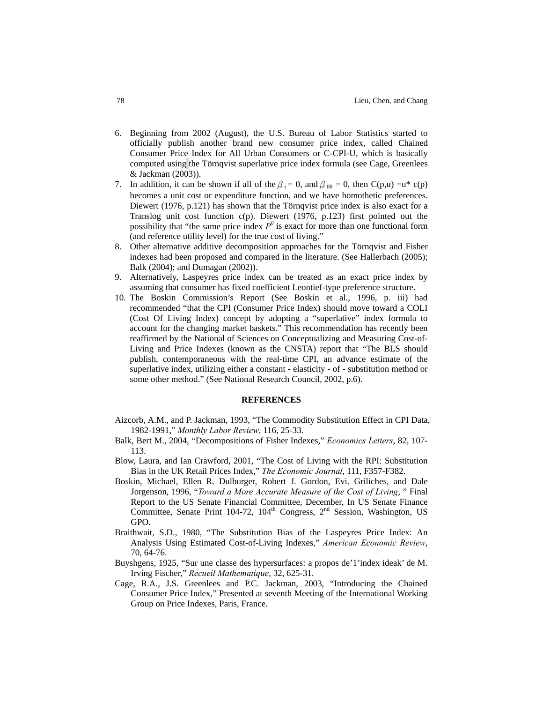- 6. Beginning from 2002 (August), the U.S. Bureau of Labor Statistics started to officially publish another brand new consumer price index, called Chained Consumer Price Index for All Urban Consumers or C-CPI-U, which is basically computed using the Törnqvist superlative price index formula (see Cage, Greenlees & Jackman (2003)).
- 7. In addition, it can be shown if all of the  $\beta_i = 0$ , and  $\beta_{00} = 0$ , then C(p,u) =u\* c(p) becomes a unit cost or expenditure function, and we have homothetic preferences. Diewert (1976, p.121) has shown that the Törnqvist price index is also exact for a Translog unit cost function c(p). Diewert (1976, p.123) first pointed out the possibility that "the same price index  $P^0$  is exact for more than one functional form (and reference utility level) for the true cost of living."
- 8. Other alternative additive decomposition approaches for the Törnqvist and Fisher indexes had been proposed and compared in the literature. (See Hallerbach (2005); Balk (2004); and Dumagan (2002)).
- 9. Alternatively, Laspeyres price index can be treated as an exact price index by assuming that consumer has fixed coefficient Leontief-type preference structure.
- 10. The Boskin Commission's Report (See Boskin et al., 1996, p. iii) had recommended "that the CPI (Consumer Price Index) should move toward a COLI (Cost Of Living Index) concept by adopting a "superlative" index formula to account for the changing market baskets." This recommendation has recently been reaffirmed by the National of Sciences on Conceptualizing and Measuring Cost-of-Living and Price Indexes (known as the CNSTA) report that "The BLS should publish, contemporaneous with the real-time CPI, an advance estimate of the superlative index, utilizing either a constant - elasticity - of - substitution method or some other method." (See National Research Council, 2002, p.6).

#### **REFERENCES**

- Aizcorb, A.M., and P. Jackman, 1993, "The Commodity Substitution Effect in CPI Data, 1982-1991," *Monthly Labor Review*, 116, 25-33.
- Balk, Bert M., 2004, "Decompositions of Fisher Indexes," *Economics Letters*, 82, 107- 113.
- Blow, Laura, and Ian Crawford, 2001, "The Cost of Living with the RPI: Substitution Bias in the UK Retail Prices Index," *The Economic Journal*, 111, F357-F382.
- Boskin, Michael, Ellen R. Dulburger, Robert J. Gordon, Evi. Griliches, and Dale Jorgenson, 1996, "*Toward a More Accurate Measure of the Cost of Living*, " Final Report to the US Senate Financial Committee, December, In US Senate Finance Committee, Senate Print 104-72, 104<sup>th</sup> Congress, 2<sup>nd</sup> Session, Washington, US GPO.
- Braithwait, S.D., 1980, "The Substitution Bias of the Laspeyres Price Index: An Analysis Using Estimated Cost-of-Living Indexes," *American Economic Review*, 70, 64-76.
- Buyshgens, 1925, "Sur une classe des hypersurfaces: a propos de'1'index ideak' de M. Irving Fischer," *Recueil Mathematique*, 32, 625-31.
- Cage, R.A., J.S. Greenlees and P.C. Jackman, 2003, "Introducing the Chained Consumer Price Index," Presented at seventh Meeting of the International Working Group on Price Indexes, Paris, France.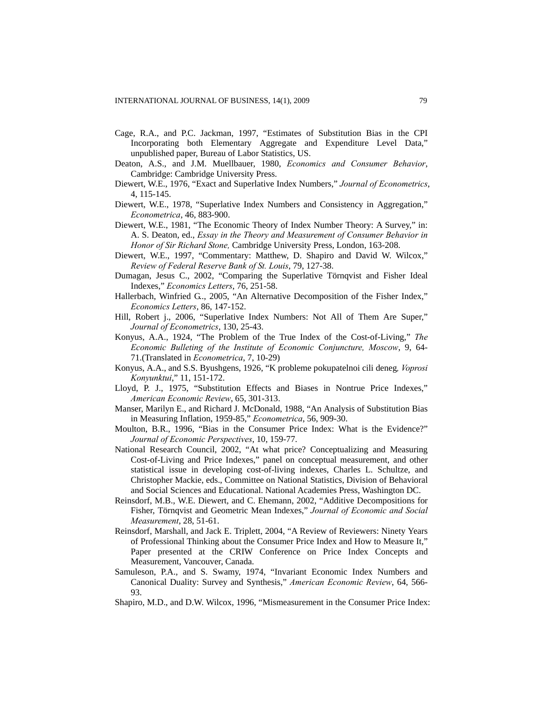- Cage, R.A., and P.C. Jackman, 1997, "Estimates of Substitution Bias in the CPI Incorporating both Elementary Aggregate and Expenditure Level Data," unpublished paper, Bureau of Labor Statistics, US.
- Deaton, A.S., and J.M. Muellbauer, 1980, *Economics and Consumer Behavior*, Cambridge: Cambridge University Press.
- Diewert, W.E., 1976, "Exact and Superlative Index Numbers," *Journal of Econometrics*, 4, 115-145.
- Diewert, W.E., 1978, "Superlative Index Numbers and Consistency in Aggregation," *Econometrica*, 46, 883-900.
- Diewert, W.E., 1981, "The Economic Theory of Index Number Theory: A Survey," in: A. S. Deaton, ed., *Essay in the Theory and Measurement of Consumer Behavior in Honor of Sir Richard Stone,* Cambridge University Press, London, 163-208.
- Diewert, W.E., 1997, "Commentary: Matthew, D. Shapiro and David W. Wilcox," *Review of Federal Reserve Bank of St. Louis*, 79, 127-38.
- Dumagan, Jesus C., 2002, "Comparing the Superlative Törnqvist and Fisher Ideal Indexes," *Economics Letters*, 76, 251-58.
- Hallerbach, Winfried G.., 2005, "An Alternative Decomposition of the Fisher Index," *Economics Letters*, 86, 147-152.
- Hill, Robert j., 2006, "Superlative Index Numbers: Not All of Them Are Super," *Journal of Econometrics*, 130, 25-43.
- Konyus, A.A., 1924, "The Problem of the True Index of the Cost-of-Living," *The Economic Bulleting of the Institute of Economic Conjuncture, Moscow*, 9, 64- 71.(Translated in *Econometrica*, 7, 10-29)
- Konyus, A.A., and S.S. Byushgens, 1926, "K probleme pokupatelnoi cili deneg*, Voprosi Konyunktui*," 11, 151-172.
- Lloyd, P. J., 1975, "Substitution Effects and Biases in Nontrue Price Indexes," *American Economic Review*, 65, 301-313.
- Manser, Marilyn E., and Richard J. McDonald, 1988, "An Analysis of Substitution Bias in Measuring Inflation, 1959-85," *Econometrica*, 56, 909-30.
- Moulton, B.R., 1996, "Bias in the Consumer Price Index: What is the Evidence?" *Journal of Economic Perspectives*, 10, 159-77.
- National Research Council, 2002, "At what price? Conceptualizing and Measuring Cost-of-Living and Price Indexes," panel on conceptual measurement, and other statistical issue in developing cost-of-living indexes, Charles L. Schultze, and Christopher Mackie, eds., Committee on National Statistics, Division of Behavioral and Social Sciences and Educational. National Academies Press, Washington DC.
- Reinsdorf, M.B., W.E. Diewert, and C. Ehemann, 2002, "Additive Decompositions for Fisher, Törnqvist and Geometric Mean Indexes," *Journal of Economic and Social Measurement*, 28, 51-61.
- Reinsdorf, Marshall, and Jack E. Triplett, 2004, "A Review of Reviewers: Ninety Years of Professional Thinking about the Consumer Price Index and How to Measure It," Paper presented at the CRIW Conference on Price Index Concepts and Measurement, Vancouver, Canada.
- Samuleson, P.A., and S. Swamy, 1974, "Invariant Economic Index Numbers and Canonical Duality: Survey and Synthesis," *American Economic Review*, 64, 566- 93.
- Shapiro, M.D., and D.W. Wilcox, 1996, "Mismeasurement in the Consumer Price Index: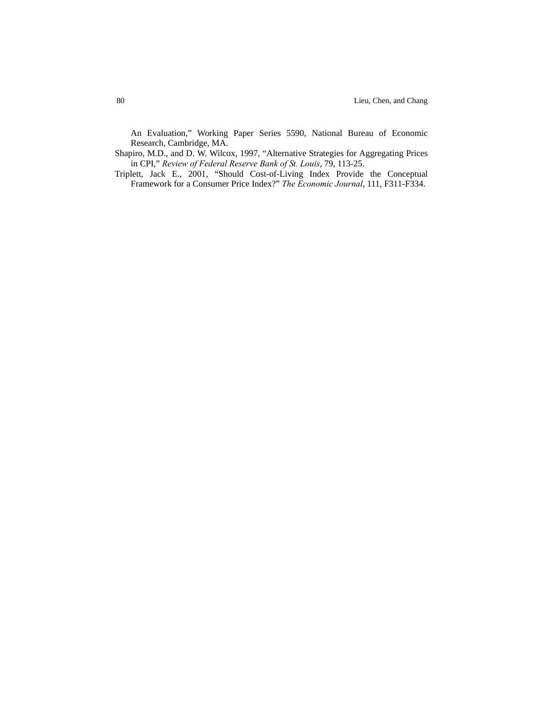An Evaluation," Working Paper Series 5590, National Bureau of Economic Research, Cambridge, MA.

Shapiro, M.D., and D. W. Wilcox, 1997, "Alternative Strategies for Aggregating Prices in CPI," *Review of Federal Reserve Bank of St. Louis*, 79, 113-25.

Triplett, Jack E., 2001, "Should Cost-of-Living Index Provide the Conceptual Framework for a Consumer Price Index?" *The Economic Journal*, 111, F311-F334.